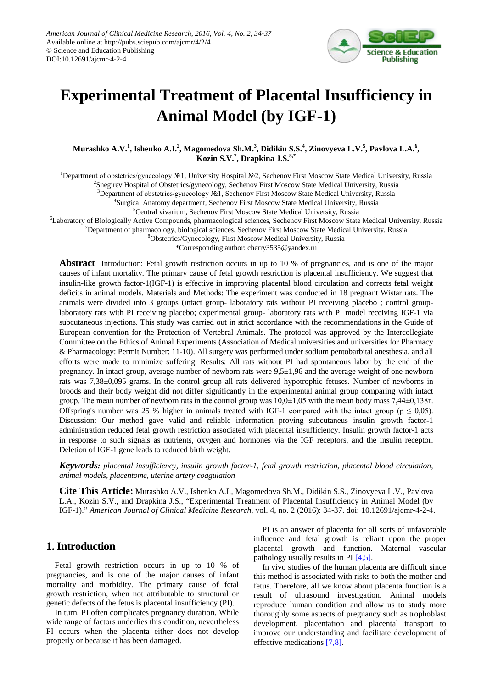

# **Experimental Treatment of Placental Insufficiency in Animal Model (by IGF-1)**

**Murashko A.V.<sup>1</sup> , Ishenko A.I.<sup>2</sup> , Magomedova Sh.M.<sup>3</sup> , Didikin S.S.<sup>4</sup> , Zinovyeva L.V.<sup>5</sup> , Pavlova L.A.<sup>6</sup> , Kozin S.V.<sup>7</sup> , Drapkina J.S.8,\***

1 Department of obstetrics/gynecology №1, University Hospital №2, Sechenov First Moscow State Medical University, Russia

<sup>2</sup>Snegirev Hospital of Obstetrics/gynecology, Sechenov First Moscow State Medical University, Russia

<sup>3</sup>Department of obstetrics/gynecology №1, Sechenov First Moscow State Medical University, Russia

4 Surgical Anatomy department, Sechenov First Moscow State Medical University, Russia

<sup>5</sup>Central vivarium, Sechenov First Moscow State Medical University, Russia

6 Laboratory of Biologically Active Compounds, pharmacological sciences, Sechenov First Moscow State Medical University, Russia

7 Department of pharmacology, biological sciences, Sechenov First Moscow State Medical University, Russia

8 Obstetrics/Gynecology, First Moscow Medical University, Russia

\*Corresponding author: cherry3535@yandex.ru

**Abstract** Introduction: Fetal growth restriction occurs in up to 10 % of pregnancies, and is one of the major causes of infant mortality. The primary cause of fetal growth restriction is placental insufficiency. We suggest that insulin-like growth factor-1(IGF-1) is effective in improving placental blood circulation and corrects fetal weight deficits in animal models. Materials and Methods: The experiment was conducted in 18 pregnant Wistar rats. The animals were divided into 3 groups (intact group- laboratory rats without PI receiving placebo ; control grouplaboratory rats with PI receiving placebo; experimental group- laboratory rats with PI model receiving IGF-1 via subcutaneous injections. This study was carried out in strict accordance with the recommendations in the Guide of European convention for the Protection of Vertebral Animals. The protocol was approved by the Intercollegiate Committee on the Ethics of Animal Experiments (Association of Medical universities and universities for Pharmacy & Pharmacology: Permit Number: 11-10). All surgery was performed under sodium pentobarbital anesthesia, and all efforts were made to minimize suffering. Results: All rats without PI had spontaneous labor by the end of the pregnancy. In intact group, average number of newborn rats were 9,5±1,96 and the average weight of one newborn rats was 7,38±0,095 grams. In the control group all rats delivered hypotrophic fetuses. Number of newborns in broods and their body weight did not differ significantly in the experimental animal group comparing with intact group. The mean number of newborn rats in the control group was  $10,0±1,05$  with the mean body mass 7,44±0,138 $r$ . Offspring's number was 25 % higher in animals treated with IGF-1 compared with the intact group ( $p \le 0.05$ ). Discussion: Our method gave valid and reliable information proving subcutaneus insulin growth factor-1 administration reduced fetal growth restriction associated with placental insufficiency. Insulin growth factor-1 acts in response to such signals as nutrients, oxygen and hormones via the IGF receptors, and the insulin receptor. Deletion of IGF-1 gene leads to reduced birth weight.

*Keywords: placental insufficiency, insulin growth factor-1, fetal growth restriction, placental blood circulation, animal models, placentome, uterine artery coagulation*

**Cite This Article:** Murashko A.V., Ishenko A.I., Magomedova Sh.M., Didikin S.S., Zinovyeva L.V., Pavlova L.A., Kozin S.V., and Drapkina J.S., "Experimental Treatment of Placental Insufficiency in Animal Model (by IGF-1)." *American Journal of Clinical Medicine Research*, vol. 4, no. 2 (2016): 34-37. doi: 10.12691/ajcmr-4-2-4.

# **1. Introduction**

Fetal growth restriction occurs in up to 10 % of pregnancies, and is one of the major causes of infant mortality and morbidity. The primary cause of fetal growth restriction, when not attributable to structural or genetic defects of the fetus is placental insufficiency (PI).

In turn, PI often complicates pregnancy duration. While wide range of factors underlies this condition, nevertheless PI occurs when the placenta either does not develop properly or because it has been damaged.

PI is an answer of placenta for all sorts of unfavorable influence and fetal growth is reliant upon the proper placental growth and function. Maternal vascular pathology usually results in PI [\[4,5\].](#page-3-0)

In vivo studies of the human placenta are difficult since this method is associated with risks to both the mother and fetus. Therefore, all we know about placenta function is a result of ultrasound investigation. Animal models reproduce human condition and allow us to study more thoroughly some aspects of pregnancy such as trophoblast development, placentation and placental transport to improve our understanding and facilitate development of effective medications [\[7,8\].](#page-3-1)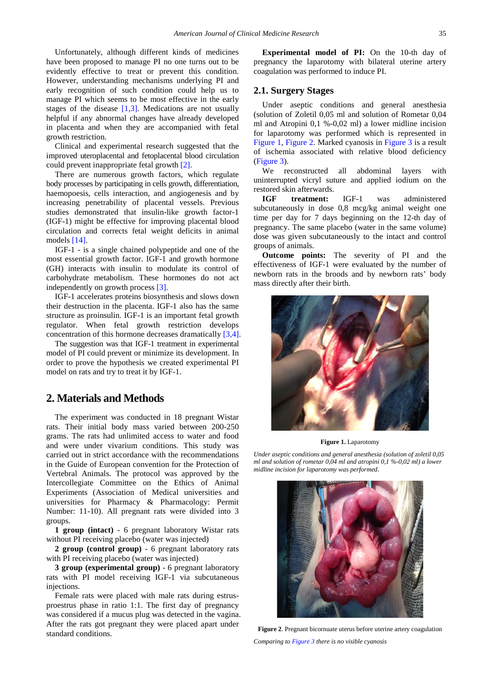Unfortunately, although different kinds of medicines have been proposed to manage PI no one turns out to be evidently effective to treat or prevent this condition. However, understanding mechanisms underlying PI and early recognition of such condition could help us to manage PI which seems to be most effective in the early stages of the disease  $[1,3]$ . Medications are not usually helpful if any abnormal changes have already developed in placenta and when they are accompanied with fetal growth restriction.

Clinical and experimental research suggested that the improved uteroplacental and fetoplacental blood circulation could prevent inappropriate fetal growth [\[2\].](#page-3-3) 

There are numerous growth factors, which regulate body processes by participating in cells growth, differentiation, haemopoesis, cells interaction, and angiogenesis and by increasing penetrability of placental vessels. Previous studies demonstrated that insulin-like growth factor-1 (IGF-1) might be effective for improving placental blood circulation and corrects fetal weight deficits in animal models [\[14\].](#page-3-4)

IGF-1 - is a single chained polypeptide and one of the most essential growth factor. IGF-1 and growth hormone (GH) interacts with insulin to modulate its control of carbohydrate metabolism. These hormones do not act independently on growth proces[s \[3\].](#page-3-5) 

IGF-1 accelerates proteins biosynthesis and slows down their destruction in the placenta. IGF-1 also has the same structure as proinsulin. IGF-1 is an important fetal growth regulator. When fetal growth restriction develops concentration of this hormone decreases dramatically [\[3,4\].](#page-3-5)

The suggestion was that IGF-1 treatment in experimental model of PI could prevent or minimize its development. In order to prove the hypothesis we created experimental PI model on rats and try to treat it by IGF-1.

# **2. Materials and Methods**

The experiment was conducted in 18 pregnant Wistar rats. Their initial body mass varied between 200-250 grams. The rats had unlimited access to water and food and were under vivarium conditions. This study was carried out in strict accordance with the recommendations in the Guide of European convention for the Protection of Vertebral Animals. The protocol was approved by the Intercollegiate Committee on the Ethics of Animal Experiments (Association of Medical universities and universities for Pharmacy & Pharmacology: Permit Number: 11-10). All pregnant rats were divided into 3 groups.

**1 group (intact)** - 6 pregnant laboratory Wistar rats without PI receiving placebo (water was injected)

**2 group (control group)** - 6 pregnant laboratory rats with PI receiving placebo (water was injected)

**3 group (experimental group)** - 6 pregnant laboratory rats with PI model receiving IGF-1 via subcutaneous injections.

Female rats were placed with male rats during estrusproestrus phase in ratio 1:1. The first day of pregnancy was considered if a mucus plug was detected in the vagina. After the rats got pregnant they were placed apart under standard conditions.

**Experimental model of PI:** On the 10-th day of pregnancy the laparotomy with bilateral uterine artery coagulation was performed to induce PI.

#### **2.1. Surgery Stages**

Under aseptic conditions and general anesthesia (solution of Zoletil 0,05 ml and solution of Rometar 0,04 ml and Atropini 0,1 %-0,02 ml) a lower midline incision for laparotomy was performed which is represented in [Figure 1,](#page-1-0) [Figure 2.](#page-1-1) Marked cyanosis in [Figure 3](#page-2-0) is a result of ischemia associated with relative blood deficiency [\(Figure 3\)](#page-2-0).

We reconstructed all abdominal layers with uninterrupted vicryl suture and applied iodium on the restored skin afterwards.

**IGF treatment:** IGF-1 was administered subcutaneously in dose 0,8 mcg/kg animal weight one time per day for 7 days beginning on the 12-th day of pregnancy. The same placebo (water in the same volume) dose was given subcutaneously to the intact and control groups of animals.

**Outcome points:** The severity of PI and the effectiveness of IGF-1 were evaluated by the number of newborn rats in the broods and by newborn rats' body mass directly after their birth.

<span id="page-1-0"></span>

**Figure 1.** Laparotomy

*Under aseptic conditions and general anesthesia (solution of zoletil 0,05 ml and solution of rometar 0,04 ml and atropini 0,1 %-0,02 ml) a lower midline incision for laparotomy was performed*.

<span id="page-1-1"></span>

**Figure 2**. Pregnant bicornuate uterus before uterine artery coagulation *Comparing to [Figure 3](#page-2-0) there is no visible cyanosis*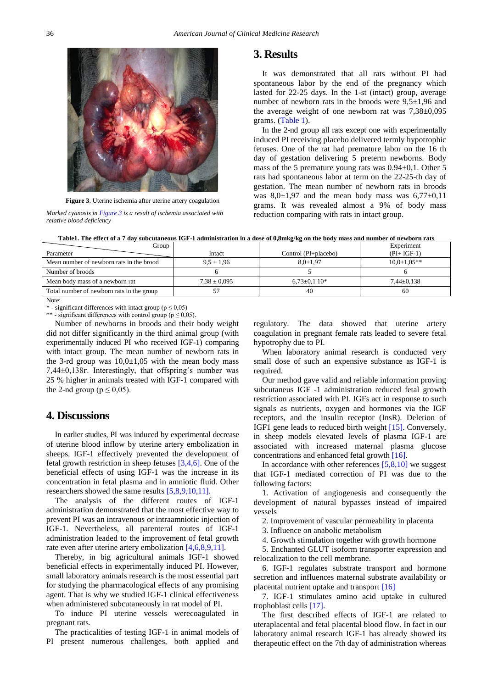<span id="page-2-0"></span>

**Figure 3**. Uterine ischemia after uterine artery coagulation

*Marked cyanosis i[n Figure 3](#page-2-0) is a result of ischemia associated with relative blood deficiency*

#### **3. Results**

It was demonstrated that all rats without PI had spontaneous labor by the end of the pregnancy which lasted for 22-25 days. In the 1-st (intact) group, average number of newborn rats in the broods were 9,5±1,96 and the average weight of one newborn rat was  $7,38\pm0,095$ grams. [\(Table 1\)](#page-2-1).

In the 2-nd group all rats except one with experimentally induced PI receiving placebo delivered termly hypotrophic fetuses. One of the rat had premature labor on the 16 th day of gestation delivering 5 preterm newborns. Body mass of the 5 premature young rats was 0.94±0,1. Other 5 rats had spontaneous labor at term on the 22-25-th day of gestation. The mean number of newborn rats in broods was  $8,0\pm1,97$  and the mean body mass was  $6,77\pm0,11$ grams. It was revealed almost a 9% of body mass reduction comparing with rats in intact group.

<span id="page-2-1"></span>

| $\mathbf{r}$ .                            |                  |                      |                   |
|-------------------------------------------|------------------|----------------------|-------------------|
| Group                                     |                  |                      | Experiment        |
| Parameter                                 | Intact           | Control (PI+placebo) | $(PI+IGF-1)$      |
| Mean number of newborn rats in the brood  | $9.5 \pm 1.96$   | $8.0 \pm 1.97$       | $10.0 \pm 1.05**$ |
| Number of broods                          |                  |                      |                   |
| Mean body mass of a newborn rat           | $7.38 \pm 0.095$ | $6,73\pm0,110*$      | $7.44 \pm 0.138$  |
| Total number of newborn rats in the group |                  | 40                   | 60                |
| Note:                                     |                  |                      |                   |

**Table1. The effect of a 7 day subcutaneous IGF-1 administration in a dose of 0,8mkg/kg on the body mass and number of newborn rats**

\* - significant differences with intact group ( $p \le 0.05$ )

\*\* - significant differences with control group ( $p \le 0.05$ ).

Number of newborns in broods and their body weight did not differ significantly in the third animal group (with experimentally induced PI who received IGF-1) comparing with intact group. The mean number of newborn rats in the 3-rd group was  $10,0±1,05$  with the mean body mass 7,44±0,138г. Interestingly, that offspring's number was 25 % higher in animals treated with IGF-1 compared with the 2-nd group ( $p \le 0.05$ ).

## **4. Discussions**

In earlier studies, PI was induced by experimental decrease of uterine blood inflow by uterine artery embolization in sheeps. IGF-1 effectively prevented the development of fetal growth restriction in sheep fetuses [\[3,4,6\].](#page-3-5) One of the beneficial effects of using IGF-1 was the increase in its concentration in fetal plasma and in amniotic fluid. Other researchers showed the same result[s \[5,8,9,10,11\].](#page-3-6) 

The analysis of the different routes of IGF-1 administration demonstrated that the most effective way to prevent PI was an intravenous or intraamniotic injection of IGF-1. Nevertheless, all parenteral routes of IGF-1 administration leaded to the improvement of fetal growth rate even after uterine artery embolization [\[4,6,8,9,11\].](#page-3-0)

Thereby, in big agricultural animals IGF-1 showed beneficial effects in experimentally induced PI. However, small laboratory animals research is the most essential part for studying the pharmacological effects of any promising agent. That is why we studied IGF-1 clinical effectiveness when administered subcutaneously in rat model of PI.

To induce PI uterine vessels werecoagulated in pregnant rats.

The practicalities of testing IGF-1 in animal models of PI present numerous challenges, both applied and regulatory. The data showed that uterine artery coagulation in pregnant female rats leaded to severe fetal hypotrophy due to PI.

When laboratory animal research is conducted very small dose of such an expensive substance as IGF-1 is required.

Our method gave valid and reliable information proving subcutaneus IGF -1 administration reduced fetal growth restriction associated with PI. IGFs act in response to such signals as nutrients, oxygen and hormones via the IGF receptors, and the insulin receptor (InsR). Deletion of IGF1 gene leads to reduced birth weight [\[15\].](#page-3-7) Conversely, in sheep models elevated levels of plasma IGF-1 are associated with increased maternal plasma glucose concentrations and enhanced fetal growth [\[16\].](#page-3-8)

In accordance with other references  $[5,8,10]$  we suggest that IGF-1 mediated correction of PI was due to the following factors:

1. Activation of angiogenesis and consequently the development of natural bypasses instead of impaired vessels

2. Improvement of vascular permeability in placenta

3. Influence on anabolic metabolism

4. Growth stimulation together with growth hormone

5. Enchanted GLUT isoform transporter expression and relocalization to the cell membrane.

6. IGF-1 regulates substrate transport and hormone secretion and influences maternal substrate availability or placental nutrient uptake and transport [\[16\]](#page-3-8)

7. IGF-1 stimulates amino acid uptake in cultured trophoblast cells [\[17\].](#page-3-9)

The first described effects of IGF-1 are related to uteraplacental and fetal placental blood flow. In fact in our laboratory animal research IGF-1 has already showed its therapeutic effect on the 7th day of administration whereas